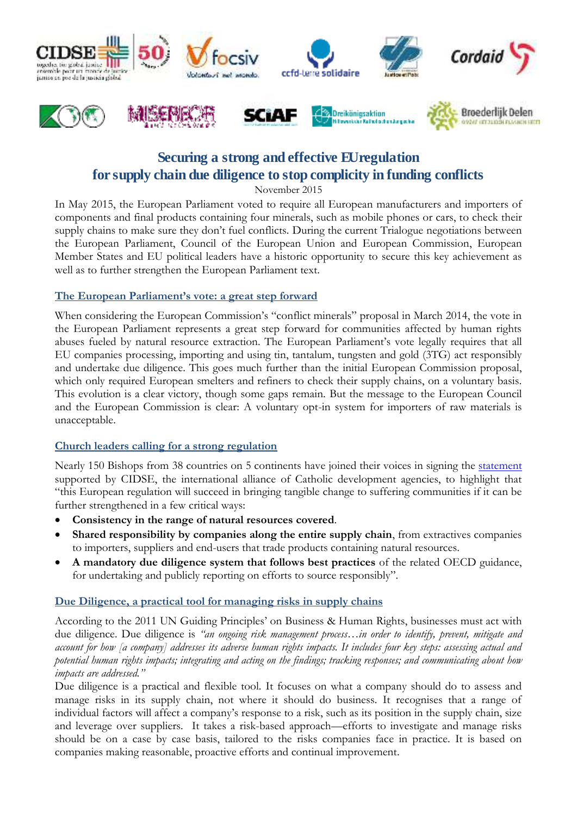

Hillbreenbeker Kelhol och and

# **Securing a strong and effective EU regulation for supply chain due diligence to stop complicity in funding conflicts**

November 2015

In May 2015, the European Parliament voted to require all European manufacturers and importers of components and final products containing four minerals, such as mobile phones or cars, to check their supply chains to make sure they don't fuel conflicts. During the current Trialogue negotiations between the European Parliament, Council of the European Union and European Commission, European Member States and EU political leaders have a historic opportunity to secure this key achievement as well as to further strengthen the European Parliament text.

## **The European Parliament's vote: a great step forward**

When considering the European Commission's "conflict minerals" proposal in March 2014, the vote in the European Parliament represents a great step forward for communities affected by human rights abuses fueled by natural resource extraction. The European Parliament's vote legally requires that all EU companies processing, importing and using tin, tantalum, tungsten and gold (3TG) act responsibly and undertake due diligence. This goes much further than the initial European Commission proposal, which only required European smelters and refiners to check their supply chains, on a voluntary basis. This evolution is a clear victory, though some gaps remain. But the message to the European Council and the European Commission is clear: A voluntary opt-in system for importers of raw materials is unacceptable.

## **Church leaders calling for a strong regulation**

Nearly 150 Bishops from 38 countries on 5 continents have joined their voices in signing the [statement](http://www.cidse.org/publication/content/publications/business-a-human-rights/conflict-minerals/catholic-leaders-statement-on-conflict-minerals.html) supported by CIDSE, the international alliance of Catholic development agencies, to highlight that "this European regulation will succeed in bringing tangible change to suffering communities if it can be further strengthened in a few critical ways:

- **Consistency in the range of natural resources covered**.
- **Shared responsibility by companies along the entire supply chain**, from extractives companies to importers, suppliers and end-users that trade products containing natural resources.
- **A mandatory due diligence system that follows best practices** of the related OECD guidance, for undertaking and publicly reporting on efforts to source responsibly".

#### **Due Diligence, a practical tool for managing risks in supply chains**

According to the 2011 UN Guiding Principles' on Business & Human Rights, businesses must act with due diligence. Due diligence is *"an ongoing risk management process...in order to identify, prevent, mitigate and account for how [a company] addresses its adverse human rights impacts. It includes four key steps: assessing actual and potential human rights impacts; integrating and acting on the findings; tracking responses; and communicating about how impacts are addressed."* 

Due diligence is a practical and flexible tool. It focuses on what a company should do to assess and manage risks in its supply chain, not where it should do business. It recognises that a range of individual factors will affect a company's response to a risk, such as its position in the supply chain, size and leverage over suppliers. It takes a risk-based approach—efforts to investigate and manage risks should be on a case by case basis, tailored to the risks companies face in practice. It is based on companies making reasonable, proactive efforts and continual improvement.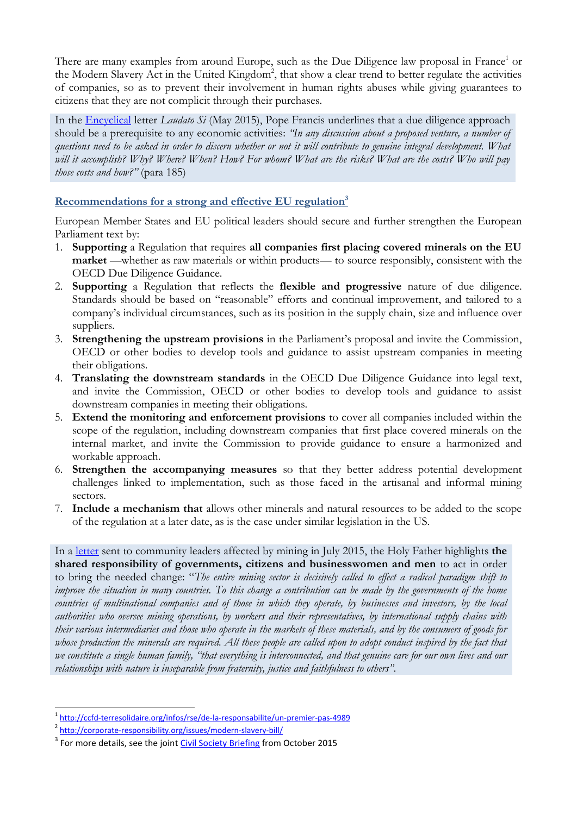There are many examples from around Europe, such as the Due Diligence law proposal in France<sup>1</sup> or the Modern Slavery Act in the United Kingdom<sup>2</sup>, that show a clear trend to better regulate the activities of companies, so as to prevent their involvement in human rights abuses while giving guarantees to citizens that they are not complicit through their purchases.

In the [Encyclical](http://w2.vatican.va/content/francesco/en/encyclicals/documents/papa-francesco_20150524_enciclica-laudato-si.html) letter *Laudato Si* (May 2015), Pope Francis underlines that a due diligence approach should be a prerequisite to any economic activities: *"In any discussion about a proposed venture, a number of questions need to be asked in order to discern whether or not it will contribute to genuine integral development. What will it accomplish? Why? Where? When? How? For whom? What are the risks? What are the costs? Who will pay those costs and how?"* (para 185)

#### **Recommendations for a strong and effective EU regulation<sup>3</sup>**

European Member States and EU political leaders should secure and further strengthen the European Parliament text by:

- 1. **Supporting** a Regulation that requires **all companies first placing covered minerals on the EU market** —whether as raw materials or within products— to source responsibly, consistent with the OECD Due Diligence Guidance.
- 2. **Supporting** a Regulation that reflects the **flexible and progressive** nature of due diligence. Standards should be based on "reasonable" efforts and continual improvement, and tailored to a company's individual circumstances, such as its position in the supply chain, size and influence over suppliers.
- 3. **Strengthening the upstream provisions** in the Parliament's proposal and invite the Commission, OECD or other bodies to develop tools and guidance to assist upstream companies in meeting their obligations.
- 4. **Translating the downstream standards** in the OECD Due Diligence Guidance into legal text, and invite the Commission, OECD or other bodies to develop tools and guidance to assist downstream companies in meeting their obligations.
- 5. **Extend the monitoring and enforcement provisions** to cover all companies included within the scope of the regulation, including downstream companies that first place covered minerals on the internal market, and invite the Commission to provide guidance to ensure a harmonized and workable approach.
- 6. **Strengthen the accompanying measures** so that they better address potential development challenges linked to implementation, such as those faced in the artisanal and informal mining sectors.
- 7. **Include a mechanism that** allows other minerals and natural resources to be added to the scope of the regulation at a later date, as is the case under similar legislation in the US.

In a [letter](http://w2.vatican.va/content/francesco/en/messages/pont-messages/2015/documents/papa-francesco_20150717_messaggio-attivita-minerarie.html) sent to community leaders affected by mining in July 2015, the Holy Father highlights **the shared responsibility of governments, citizens and businesswomen and men** to act in order to bring the needed change: "*The entire mining sector is decisively called to effect a radical paradigm shift to improve the situation in many countries. To this change a contribution can be made by the governments of the home countries of multinational companies and of those in which they operate, by businesses and investors, by the local authorities who oversee mining operations, by workers and their representatives, by international supply chains with their various intermediaries and those who operate in the markets of these materials, and by the consumers of goods for whose production the minerals are required. All these people are called upon to adopt conduct inspired by the fact that we constitute a single human family, "that everything is interconnected, and that genuine care for our own lives and our relationships with nature is inseparable from fraternity, justice and faithfulness to others".* 

 1 <http://ccfd-terresolidaire.org/infos/rse/de-la-responsabilite/un-premier-pas-4989>

<sup>&</sup>lt;sup>2</sup> <http://corporate-responsibility.org/issues/modern-slavery-bill/>

<sup>&</sup>lt;sup>3</sup> For more details, see the joint *Civil Society Briefing* from October 2015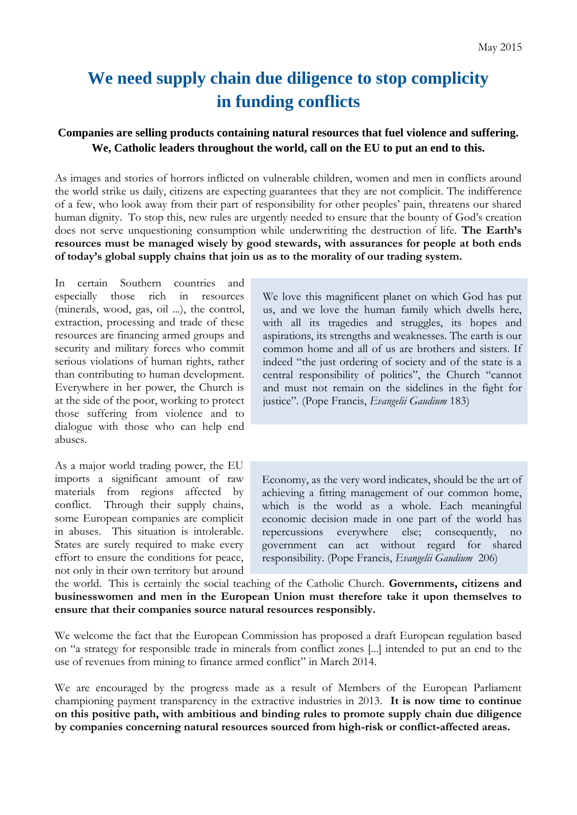# **We need supply chain due diligence to stop complicity in funding conflicts**

## **Companies are selling products containing natural resources that fuel violence and suffering. We, Catholic leaders throughout the world, call on the EU to put an end to this.**

As images and stories of horrors inflicted on vulnerable children, women and men in conflicts around the world strike us daily, citizens are expecting guarantees that they are not complicit. The indifference of a few, who look away from their part of responsibility for other peoples' pain, threatens our shared human dignity. To stop this, new rules are urgently needed to ensure that the bounty of God's creation does not serve unquestioning consumption while underwriting the destruction of life. **The Earth's resources must be managed wisely by good stewards, with assurances for people at both ends of today's global supply chains that join us as to the morality of our trading system.**

In certain Southern countries and especially those rich in resources (minerals, wood, gas, oil ...), the control, extraction, processing and trade of these resources are financing armed groups and security and military forces who commit serious violations of human rights, rather than contributing to human development. Everywhere in her power, the Church is at the side of the poor, working to protect those suffering from violence and to dialogue with those who can help end abuses.

As a major world trading power, the EU imports a significant amount of raw materials from regions affected by conflict. Through their supply chains, some European companies are complicit in abuses. This situation is intolerable. States are surely required to make every effort to ensure the conditions for peace, not only in their own territory but around We love this magnificent planet on which God has put us, and we love the human family which dwells here, with all its tragedies and struggles, its hopes and aspirations, its strengths and weaknesses. The earth is our common home and all of us are brothers and sisters. If indeed "the just ordering of society and of the state is a central responsibility of politics", the Church "cannot and must not remain on the sidelines in the fight for justice". (Pope Francis, *Evangelii Gaudium* 183)

Economy, as the very word indicates, should be the art of achieving a fitting management of our common home, which is the world as a whole. Each meaningful economic decision made in one part of the world has repercussions everywhere else; consequently, no government can act without regard for shared responsibility. (Pope Francis, *Evangelii Gaudium* 206)

the world. This is certainly the social teaching of the Catholic Church. **Governments, citizens and businesswomen and men in the European Union must therefore take it upon themselves to ensure that their companies source natural resources responsibly.**

We welcome the fact that the European Commission has proposed a draft European regulation based on "a strategy for responsible trade in minerals from conflict zones [...] intended to put an end to the use of revenues from mining to finance armed conflict" in March 2014.

We are encouraged by the progress made as a result of Members of the European Parliament championing payment transparency in the extractive industries in 2013. **It is now time to continue on this positive path, with ambitious and binding rules to promote supply chain due diligence by companies concerning natural resources sourced from high-risk or conflict-affected areas.**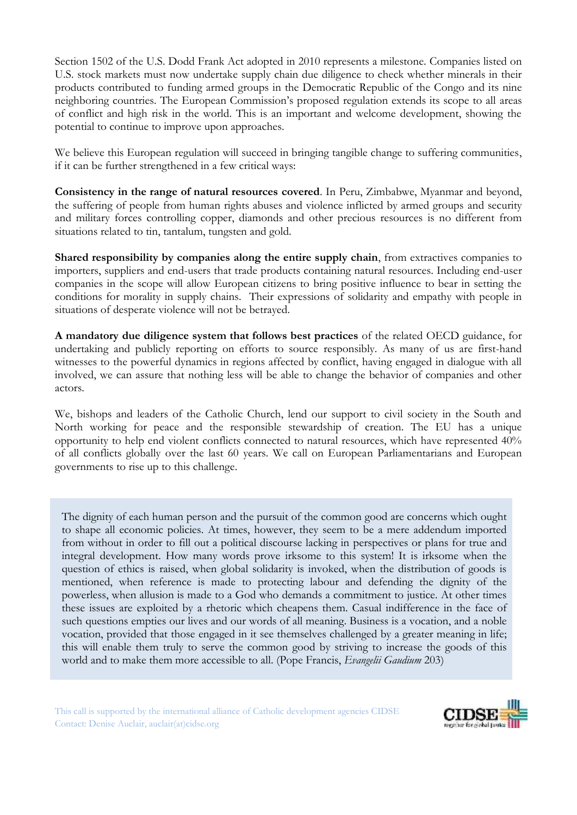Section 1502 of the U.S. Dodd Frank Act adopted in 2010 represents a milestone. Companies listed on U.S. stock markets must now undertake supply chain due diligence to check whether minerals in their products contributed to funding armed groups in the Democratic Republic of the Congo and its nine neighboring countries. The European Commission's proposed regulation extends its scope to all areas of conflict and high risk in the world. This is an important and welcome development, showing the potential to continue to improve upon approaches.

We believe this European regulation will succeed in bringing tangible change to suffering communities, if it can be further strengthened in a few critical ways:

**Consistency in the range of natural resources covered**. In Peru, Zimbabwe, Myanmar and beyond, the suffering of people from human rights abuses and violence inflicted by armed groups and security and military forces controlling copper, diamonds and other precious resources is no different from situations related to tin, tantalum, tungsten and gold.

**Shared responsibility by companies along the entire supply chain, from extractives companies to** importers, suppliers and end-users that trade products containing natural resources. Including end-user companies in the scope will allow European citizens to bring positive influence to bear in setting the conditions for morality in supply chains. Their expressions of solidarity and empathy with people in situations of desperate violence will not be betrayed.

**A mandatory due diligence system that follows best practices** of the related OECD guidance, for undertaking and publicly reporting on efforts to source responsibly. As many of us are first-hand witnesses to the powerful dynamics in regions affected by conflict, having engaged in dialogue with all involved, we can assure that nothing less will be able to change the behavior of companies and other actors.

We, bishops and leaders of the Catholic Church, lend our support to civil society in the South and North working for peace and the responsible stewardship of creation. The EU has a unique opportunity to help end violent conflicts connected to natural resources, which have represented 40% of all conflicts globally over the last 60 years. We call on European Parliamentarians and European governments to rise up to this challenge.

The dignity of each human person and the pursuit of the common good are concerns which ought to shape all economic policies. At times, however, they seem to be a mere addendum imported from without in order to fill out a political discourse lacking in perspectives or plans for true and integral development. How many words prove irksome to this system! It is irksome when the question of ethics is raised, when global solidarity is invoked, when the distribution of goods is mentioned, when reference is made to protecting labour and defending the dignity of the powerless, when allusion is made to a God who demands a commitment to justice. At other times these issues are exploited by a rhetoric which cheapens them. Casual indifference in the face of such questions empties our lives and our words of all meaning. Business is a vocation, and a noble vocation, provided that those engaged in it see themselves challenged by a greater meaning in life; this will enable them truly to serve the common good by striving to increase the goods of this world and to make them more accessible to all. (Pope Francis, *Evangelii Gaudium* 203)

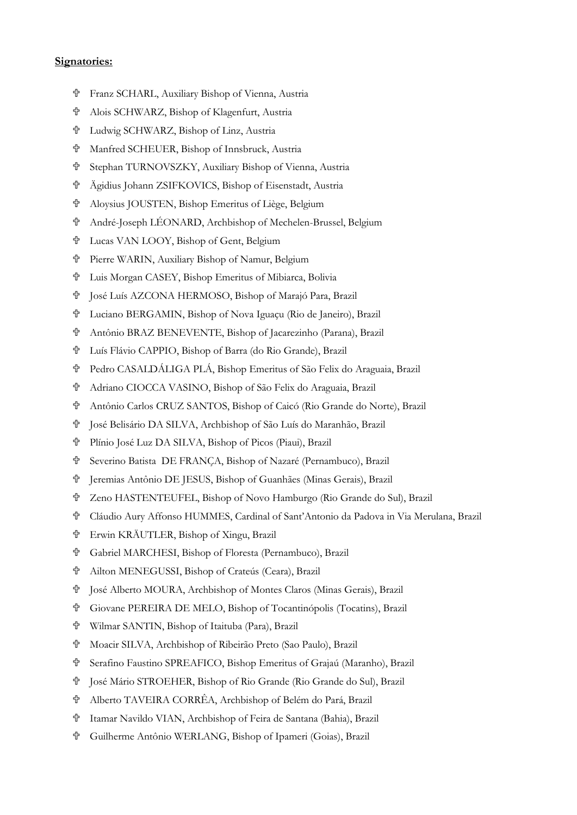#### **Signatories:**

- Franz SCHARL, Auxiliary Bishop of Vienna, Austria
- Alois SCHWARZ, Bishop of Klagenfurt, Austria
- Ludwig SCHWARZ, Bishop of Linz, Austria
- Manfred SCHEUER, Bishop of Innsbruck, Austria
- Stephan TURNOVSZKY, Auxiliary Bishop of Vienna, Austria
- Ägidius Johann ZSIFKOVICS, Bishop of Eisenstadt, Austria
- Aloysius JOUSTEN, Bishop Emeritus of Liège, Belgium
- André-Joseph LÉONARD, Archbishop of Mechelen-Brussel, Belgium
- Lucas VAN LOOY, Bishop of Gent, Belgium
- Pierre WARIN, Auxiliary Bishop of Namur, Belgium
- Luis Morgan CASEY, Bishop Emeritus of Mibiarca, Bolivia
- José Luís AZCONA HERMOSO, Bishop of Marajó Para, Brazil
- Luciano BERGAMIN, Bishop of Nova Iguaçu (Rio de Janeiro), Brazil
- Antônio BRAZ BENEVENTE, Bishop of Jacarezinho (Parana), Brazil
- Luís Flávio CAPPIO, Bishop of Barra (do Rio Grande), Brazil
- Pedro CASALDÁLIGA PLÁ, Bishop Emeritus of São Felix do Araguaia, Brazil
- Adriano CIOCCA VASINO, Bishop of São Felix do Araguaia, Brazil
- Antônio Carlos CRUZ SANTOS, Bishop of Caicó (Rio Grande do Norte), Brazil
- José Belisário DA SILVA, Archbishop of São Luís do Maranhão, Brazil
- Plínio José Luz DA SILVA, Bishop of Picos (Piaui), Brazil
- Severino Batista DE FRANÇA, Bishop of Nazaré (Pernambuco), Brazil
- Jeremias Antônio DE JESUS, Bishop of Guanhães (Minas Gerais), Brazil
- Zeno HASTENTEUFEL, Bishop of Novo Hamburgo (Rio Grande do Sul), Brazil
- Cláudio Aury Affonso HUMMES, Cardinal of Sant'Antonio da Padova in Via Merulana, Brazil
- Erwin KRÄUTLER, Bishop of Xingu, Brazil
- Gabriel MARCHESI, Bishop of Floresta (Pernambuco), Brazil
- Ailton MENEGUSSI, Bishop of Crateús (Ceara), Brazil
- José Alberto MOURA, Archbishop of Montes Claros (Minas Gerais), Brazil
- Giovane PEREIRA DE MELO, Bishop of Tocantinópolis (Tocatins), Brazil
- Wilmar SANTIN, Bishop of Itaituba (Para), Brazil
- Moacir SILVA, Archbishop of Ribeirão Preto (Sao Paulo), Brazil
- Serafino Faustino SPREAFICO, Bishop Emeritus of Grajaú (Maranho), Brazil
- José Mário STROEHER, Bishop of Rio Grande (Rio Grande do Sul), Brazil
- Alberto TAVEIRA CORRÊA, Archbishop of Belém do Pará, Brazil
- Itamar Navildo VIAN, Archbishop of Feira de Santana (Bahia), Brazil
- Guilherme Antônio WERLANG, Bishop of Ipameri (Goias), Brazil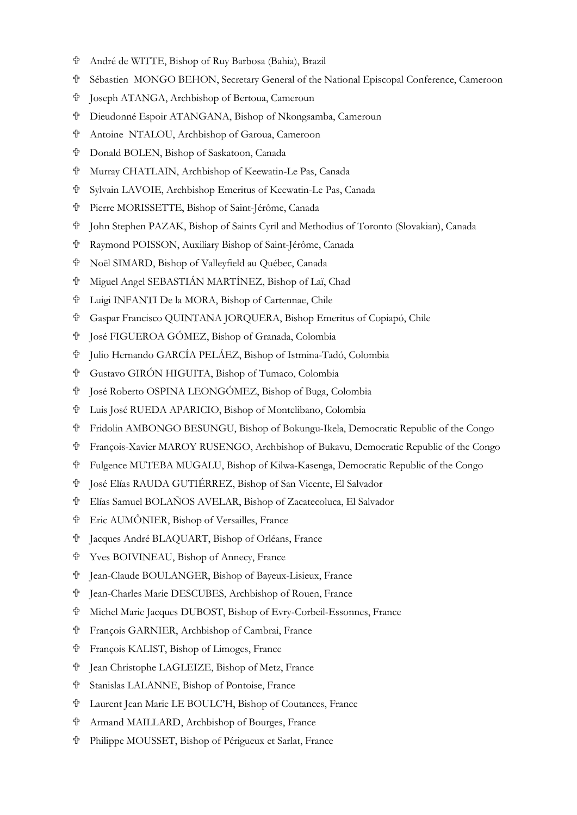- André de WITTE, Bishop of Ruy Barbosa (Bahia), Brazil
- Sébastien MONGO BEHON, Secretary General of the National Episcopal Conference, Cameroon
- Joseph ATANGA, Archbishop of Bertoua, Cameroun
- Dieudonné Espoir ATANGANA, Bishop of Nkongsamba, Cameroun
- Antoine NTALOU, Archbishop of Garoua, Cameroon
- Donald BOLEN, Bishop of Saskatoon, Canada
- Murray CHATLAIN, Archbishop of Keewatin-Le Pas, Canada
- Sylvain LAVOIE, Archbishop Emeritus of Keewatin-Le Pas, Canada
- Pierre MORISSETTE, Bishop of Saint-Jérôme, Canada
- John Stephen PAZAK, Bishop of Saints Cyril and Methodius of Toronto (Slovakian), Canada
- Raymond POISSON, Auxiliary Bishop of Saint-Jérôme, Canada
- Noël SIMARD, Bishop of Valleyfield au Québec, Canada
- Miguel Angel SEBASTIÁN MARTÍNEZ, Bishop of Laï, Chad
- Luigi INFANTI De la MORA, Bishop of Cartennae, Chile
- Gaspar Francisco QUINTANA JORQUERA, Bishop Emeritus of Copiapó, Chile
- José FIGUEROA GÓMEZ, Bishop of Granada, Colombia
- Julio Hernando GARCÍA PELÁEZ, Bishop of Istmina-Tadó, Colombia
- Gustavo GIRÓN HIGUITA, Bishop of Tumaco, Colombia
- José Roberto OSPINA LEONGÓMEZ, Bishop of Buga, Colombia
- Luis José RUEDA APARICIO, Bishop of Montelibano, Colombia
- Fridolin AMBONGO BESUNGU, Bishop of Bokungu-Ikela, Democratic Republic of the Congo
- François-Xavier MAROY RUSENGO, Archbishop of Bukavu, Democratic Republic of the Congo
- Fulgence MUTEBA MUGALU, Bishop of Kilwa-Kasenga, Democratic Republic of the Congo
- José Elías RAUDA GUTIÉRREZ, Bishop of San Vicente, El Salvador
- Elías Samuel BOLAÑOS AVELAR, Bishop of Zacatecoluca, El Salvador
- Eric AUMÔNIER, Bishop of Versailles, France
- Jacques André BLAQUART, Bishop of Orléans, France
- Yves BOIVINEAU, Bishop of Annecy, France
- Jean-Claude BOULANGER, Bishop of Bayeux-Lisieux, France
- Jean-Charles Marie DESCUBES, Archbishop of Rouen, France
- Michel Marie Jacques DUBOST, Bishop of Evry-Corbeil-Essonnes, France
- François GARNIER, Archbishop of Cambrai, France
- François KALIST, Bishop of Limoges, France
- Jean Christophe LAGLEIZE, Bishop of Metz, France
- Stanislas LALANNE, Bishop of Pontoise, France
- Laurent Jean Marie LE BOULC'H, Bishop of Coutances, France
- Armand MAILLARD, Archbishop of Bourges, France
- Philippe MOUSSET, Bishop of Périgueux et Sarlat, France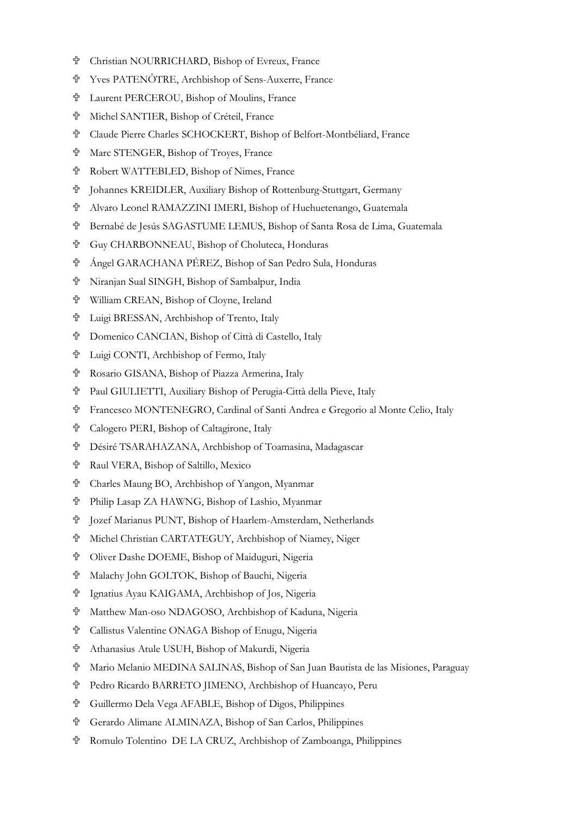- Christian NOURRICHARD, Bishop of Evreux, France
- Yves PATENÔTRE, Archbishop of Sens-Auxerre, France
- Laurent PERCEROU, Bishop of Moulins, France
- Michel SANTIER, Bishop of Créteil, France
- Claude Pierre Charles SCHOCKERT, Bishop of Belfort-Montbéliard, France
- Marc STENGER, Bishop of Troyes, France
- Robert WATTEBLED, Bishop of Nimes, France
- Johannes KREIDLER, Auxiliary Bishop of Rottenburg-Stuttgart, Germany
- Alvaro Leonel RAMAZZINI IMERI, Bishop of Huehuetenango, Guatemala
- Bernabé de Jesús SAGASTUME LEMUS, Bishop of Santa Rosa de Lima, Guatemala
- Guy CHARBONNEAU, Bishop of Choluteca, Honduras
- Ángel GARACHANA PÉREZ, Bishop of San Pedro Sula, Honduras
- Niranjan Sual SINGH, Bishop of Sambalpur, India
- William CREAN, Bishop of Cloyne, Ireland
- Luigi BRESSAN, Archbishop of Trento, Italy
- Domenico CANCIAN, Bishop of Città di Castello, Italy
- Luigi CONTI, Archbishop of Fermo, Italy
- Rosario GISANA, Bishop of Piazza Armerina, Italy
- Paul GIULIETTI, Auxiliary Bishop of Perugia-Città della Pieve, Italy
- Francesco MONTENEGRO, Cardinal of Santi Andrea e Gregorio al Monte Celio, Italy
- Calogero PERI, Bishop of Caltagirone, Italy
- Désiré TSARAHAZANA, Archbishop of Toamasina, Madagascar
- Raul VERA, Bishop of Saltillo, Mexico
- Charles Maung BO, Archbishop of Yangon, Myanmar
- Philip Lasap ZA HAWNG, Bishop of Lashio, Myanmar
- Jozef Marianus PUNT, Bishop of Haarlem-Amsterdam, Netherlands
- Michel Christian CARTATEGUY, Archbishop of Niamey, Niger
- Oliver Dashe DOEME, Bishop of Maiduguri, Nigeria
- Malachy John GOLTOK, Bishop of Bauchi, Nigeria
- Ignatius Ayau KAIGAMA, Archbishop of Jos, Nigeria
- Matthew Man-oso NDAGOSO, Archbishop of Kaduna, Nigeria
- Callistus Valentine ONAGA Bishop of Enugu, Nigeria
- Athanasius Atule USUH, Bishop of Makurdi, Nigeria
- Mario Melanio MEDINA SALINAS, Bishop of San Juan Bautista de las Misiones, Paraguay
- Pedro Ricardo BARRETO JIMENO, Archbishop of Huancayo, Peru
- Guillermo Dela Vega AFABLE, Bishop of Digos, Philippines
- Gerardo Alimane ALMINAZA, Bishop of San Carlos, Philippines
- Romulo Tolentino DE LA CRUZ, Archbishop of Zamboanga, Philippines